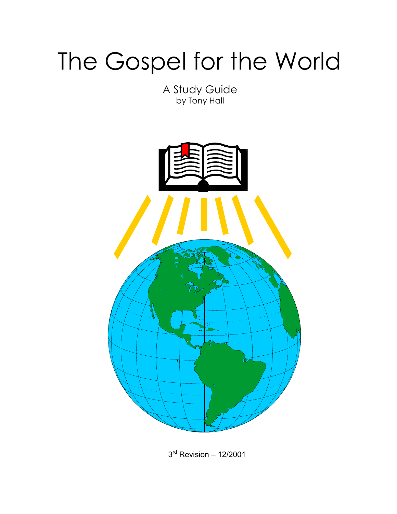# The Gospel for the World

A Study Guide by Tony Hall



3rd Revision – 12/2001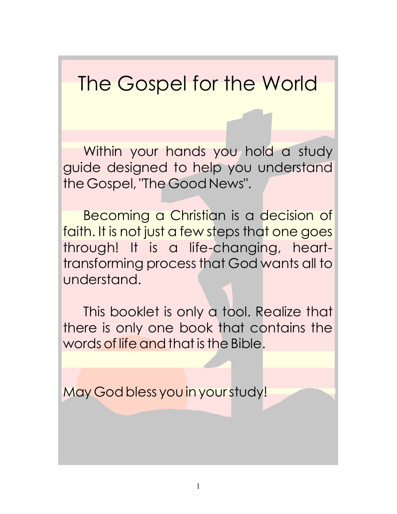The Gospel for the World

Within your hands you hold a study guide designed to help you understand the Gospel, "The Good News".

Becoming a Christian is a decision of faith. It is not just a few steps that one goes through! It is a life-changing, hearttransforming process that God wants all to understand.

This booklet is only a tool. Realize that there is only one book that contains the words of life and that is the Bible.

May God bless you in your study!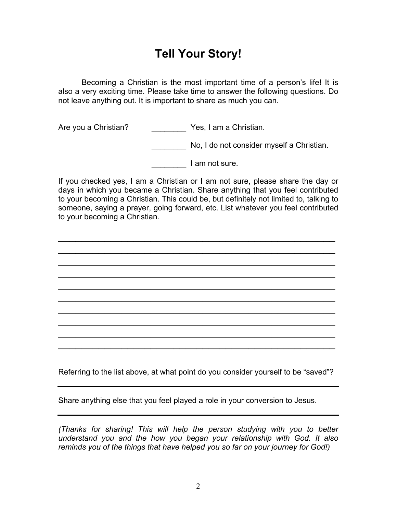## **Tell Your Story!**

 Becoming a Christian is the most important time of a person's life! It is also a very exciting time. Please take time to answer the following questions. Do not leave anything out. It is important to share as much you can.

Are you a Christian? The Section of Pes, I am a Christian.

No, I do not consider myself a Christian.

defining a lam not sure.

If you checked yes, I am a Christian or I am not sure, please share the day or days in which you became a Christian. Share anything that you feel contributed to your becoming a Christian. This could be, but definitely not limited to, talking to someone, saying a prayer, going forward, etc. List whatever you feel contributed to your becoming a Christian.

\_\_\_\_\_\_\_\_\_\_\_\_\_\_\_\_\_\_\_\_\_\_\_\_\_\_\_\_\_\_\_\_\_\_\_\_\_\_\_\_\_\_\_\_\_\_\_\_ \_\_\_\_\_\_\_\_\_\_\_\_\_\_\_\_\_\_\_\_\_\_\_\_\_\_\_\_\_\_\_\_\_\_\_\_\_\_\_\_\_\_\_\_\_\_\_\_ \_\_\_\_\_\_\_\_\_\_\_\_\_\_\_\_\_\_\_\_\_\_\_\_\_\_\_\_\_\_\_\_\_\_\_\_\_\_\_\_\_\_\_\_\_\_\_\_ \_\_\_\_\_\_\_\_\_\_\_\_\_\_\_\_\_\_\_\_\_\_\_\_\_\_\_\_\_\_\_\_\_\_\_\_\_\_\_\_\_\_\_\_\_\_\_\_ \_\_\_\_\_\_\_\_\_\_\_\_\_\_\_\_\_\_\_\_\_\_\_\_\_\_\_\_\_\_\_\_\_\_\_\_\_\_\_\_\_\_\_\_\_\_\_\_ \_\_\_\_\_\_\_\_\_\_\_\_\_\_\_\_\_\_\_\_\_\_\_\_\_\_\_\_\_\_\_\_\_\_\_\_\_\_\_\_\_\_\_\_\_\_\_\_ \_\_\_\_\_\_\_\_\_\_\_\_\_\_\_\_\_\_\_\_\_\_\_\_\_\_\_\_\_\_\_\_\_\_\_\_\_\_\_\_\_\_\_\_\_\_\_\_ \_\_\_\_\_\_\_\_\_\_\_\_\_\_\_\_\_\_\_\_\_\_\_\_\_\_\_\_\_\_\_\_\_\_\_\_\_\_\_\_\_\_\_\_\_\_\_\_ \_\_\_\_\_\_\_\_\_\_\_\_\_\_\_\_\_\_\_\_\_\_\_\_\_\_\_\_\_\_\_\_\_\_\_\_\_\_\_\_\_\_\_\_\_\_\_\_ \_\_\_\_\_\_\_\_\_\_\_\_\_\_\_\_\_\_\_\_\_\_\_\_\_\_\_\_\_\_\_\_\_\_\_\_\_\_\_\_\_\_\_\_\_\_\_\_

Referring to the list above, at what point do you consider yourself to be "saved"?

Share anything else that you feel played a role in your conversion to Jesus.

*(Thanks for sharing! This will help the person studying with you to better understand you and the how you began your relationship with God. It also reminds you of the things that have helped you so far on your journey for God!)*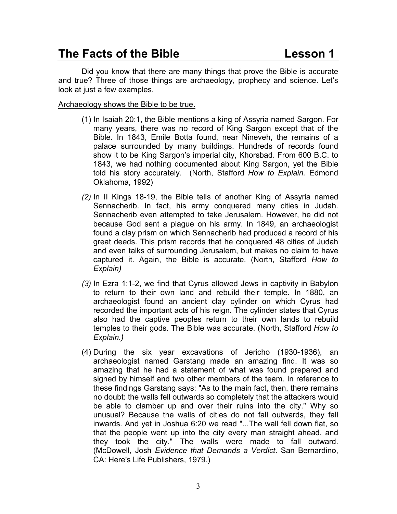## **The Facts of the Bible Lesson 1**

 Did you know that there are many things that prove the Bible is accurate and true? Three of those things are archaeology, prophecy and science. Let's look at just a few examples.

#### Archaeology shows the Bible to be true.

- (1) In Isaiah 20:1, the Bible mentions a king of Assyria named Sargon. For many years, there was no record of King Sargon except that of the Bible. In 1843, Emile Botta found, near Nineveh, the remains of a palace surrounded by many buildings. Hundreds of records found show it to be King Sargon's imperial city, Khorsbad. From 600 B.C. to 1843, we had nothing documented about King Sargon, yet the Bible told his story accurately. (North, Stafford *How to Explain.* Edmond Oklahoma, 1992)
- *(2)* In II Kings 18-19, the Bible tells of another King of Assyria named Sennacherib. In fact, his army conquered many cities in Judah. Sennacherib even attempted to take Jerusalem. However, he did not because God sent a plague on his army. In 1849, an archaeologist found a clay prism on which Sennacherib had produced a record of his great deeds. This prism records that he conquered 48 cities of Judah and even talks of surrounding Jerusalem, but makes no claim to have captured it. Again, the Bible is accurate. (North, Stafford *How to Explain)*
- *(3)* In Ezra 1:1-2, we find that Cyrus allowed Jews in captivity in Babylon to return to their own land and rebuild their temple. In 1880, an archaeologist found an ancient clay cylinder on which Cyrus had recorded the important acts of his reign. The cylinder states that Cyrus also had the captive peoples return to their own lands to rebuild temples to their gods. The Bible was accurate. (North, Stafford *How to Explain.)*
- (4) During the six year excavations of Jericho (1930-1936), an archaeologist named Garstang made an amazing find. It was so amazing that he had a statement of what was found prepared and signed by himself and two other members of the team. In reference to these findings Garstang says: "As to the main fact, then, there remains no doubt: the walls fell outwards so completely that the attackers would be able to clamber up and over their ruins into the city." Why so unusual? Because the walls of cities do not fall outwards, they fall inwards. And yet in Joshua 6:20 we read "...The wall fell down flat, so that the people went up into the city every man straight ahead, and they took the city." The walls were made to fall outward. (McDowell, Josh *Evidence that Demands a Verdict*. San Bernardino, CA: Here's Life Publishers, 1979.)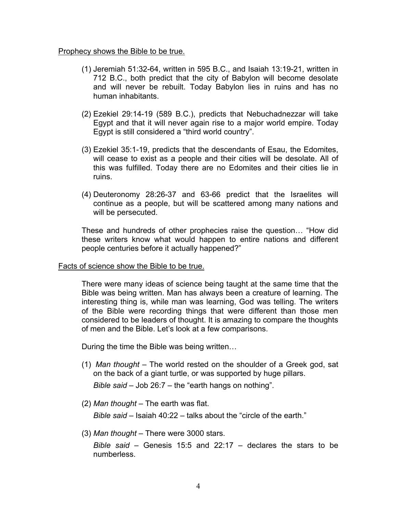#### Prophecy shows the Bible to be true.

- (1) Jeremiah 51:32-64, written in 595 B.C., and Isaiah 13:19-21, written in 712 B.C., both predict that the city of Babylon will become desolate and will never be rebuilt. Today Babylon lies in ruins and has no human inhabitants.
- (2) Ezekiel 29:14-19 (589 B.C.), predicts that Nebuchadnezzar will take Egypt and that it will never again rise to a major world empire. Today Egypt is still considered a "third world country".
- (3) Ezekiel 35:1-19, predicts that the descendants of Esau, the Edomites, will cease to exist as a people and their cities will be desolate. All of this was fulfilled. Today there are no Edomites and their cities lie in ruins.
- (4) Deuteronomy 28:26-37 and 63-66 predict that the Israelites will continue as a people, but will be scattered among many nations and will be persecuted.

These and hundreds of other prophecies raise the question… "How did these writers know what would happen to entire nations and different people centuries before it actually happened?"

#### Facts of science show the Bible to be true.

There were many ideas of science being taught at the same time that the Bible was being written. Man has always been a creature of learning. The interesting thing is, while man was learning, God was telling. The writers of the Bible were recording things that were different than those men considered to be leaders of thought. It is amazing to compare the thoughts of men and the Bible. Let's look at a few comparisons.

During the time the Bible was being written…

(1) *Man thought* – The world rested on the shoulder of a Greek god, sat on the back of a giant turtle, or was supported by huge pillars.

*Bible said* – Job 26:7 – the "earth hangs on nothing".

(2) *Man thought* – The earth was flat.

*Bible said* – Isaiah 40:22 – talks about the "circle of the earth."

(3) *Man thought* – There were 3000 stars.

*Bible said* – Genesis 15:5 and 22:17 – declares the stars to be numberless.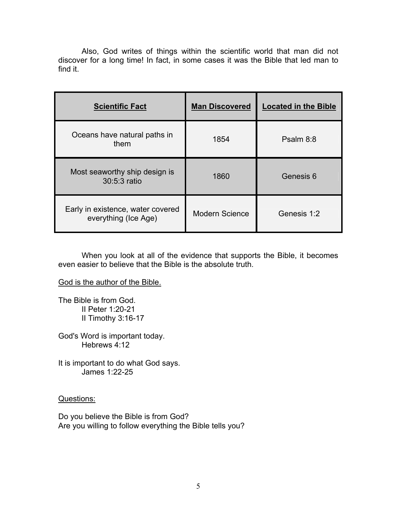Also, God writes of things within the scientific world that man did not discover for a long time! In fact, in some cases it was the Bible that led man to find it.

| <b>Scientific Fact</b>                                    | <b>Man Discovered</b> | <b>Located in the Bible</b> |
|-----------------------------------------------------------|-----------------------|-----------------------------|
| Oceans have natural paths in<br>them                      | 1854                  | Psalm 8:8                   |
| Most seaworthy ship design is<br>30:5:3 ratio             | 1860                  | Genesis 6                   |
| Early in existence, water covered<br>everything (Ice Age) | <b>Modern Science</b> | Genesis 1:2                 |

When you look at all of the evidence that supports the Bible, it becomes even easier to believe that the Bible is the absolute truth.

God is the author of the Bible.

The Bible is from God. II Peter 1:20-21 II Timothy 3:16-17

God's Word is important today. Hebrews 4:12

It is important to do what God says. James 1:22-25

Questions:

Do you believe the Bible is from God? Are you willing to follow everything the Bible tells you?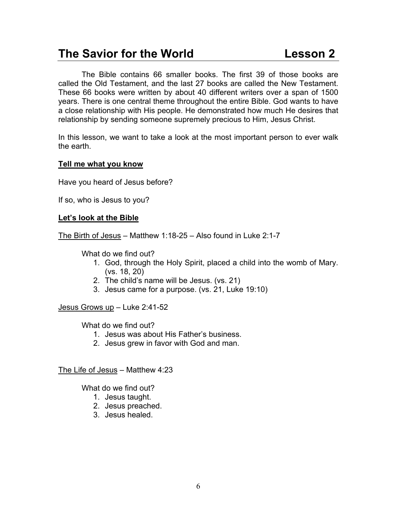## **The Savior for the World Lesson 2**

 The Bible contains 66 smaller books. The first 39 of those books are called the Old Testament, and the last 27 books are called the New Testament. These 66 books were written by about 40 different writers over a span of 1500 years. There is one central theme throughout the entire Bible. God wants to have a close relationship with His people. He demonstrated how much He desires that relationship by sending someone supremely precious to Him, Jesus Christ.

In this lesson, we want to take a look at the most important person to ever walk the earth.

#### **Tell me what you know**

Have you heard of Jesus before?

If so, who is Jesus to you?

### **Let's look at the Bible**

The Birth of Jesus – Matthew 1:18-25 – Also found in Luke 2:1-7

What do we find out?

- 1. God, through the Holy Spirit, placed a child into the womb of Mary. (vs. 18, 20)
- 2. The child's name will be Jesus. (vs. 21)
- 3. Jesus came for a purpose. (vs. 21, Luke 19:10)

Jesus Grows up – Luke 2:41-52

What do we find out?

- 1. Jesus was about His Father's business.
- 2. Jesus grew in favor with God and man.

The Life of Jesus – Matthew 4:23

What do we find out?

- 1. Jesus taught.
- 2. Jesus preached.
- 3. Jesus healed.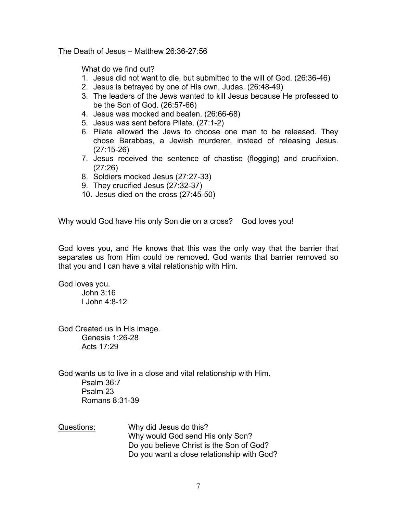The Death of Jesus – Matthew 26:36-27:56

What do we find out?

- 1. Jesus did not want to die, but submitted to the will of God. (26:36-46)
- 2. Jesus is betrayed by one of His own, Judas. (26:48-49)
- 3. The leaders of the Jews wanted to kill Jesus because He professed to be the Son of God. (26:57-66)
- 4. Jesus was mocked and beaten. (26:66-68)
- 5. Jesus was sent before Pilate. (27:1-2)
- 6. Pilate allowed the Jews to choose one man to be released. They chose Barabbas, a Jewish murderer, instead of releasing Jesus. (27:15-26)
- 7. Jesus received the sentence of chastise (flogging) and crucifixion. (27:26)
- 8. Soldiers mocked Jesus (27:27-33)
- 9. They crucified Jesus (27:32-37)
- 10. Jesus died on the cross (27:45-50)

Why would God have His only Son die on a cross? God loves you!

God loves you, and He knows that this was the only way that the barrier that separates us from Him could be removed. God wants that barrier removed so that you and I can have a vital relationship with Him.

God loves you. John 3:16 I John 4:8-12

God Created us in His image. Genesis 1:26-28

Acts 17:29

God wants us to live in a close and vital relationship with Him. Psalm 36:7 Psalm 23 Romans 8:31-39

Questions: Why did Jesus do this? Why would God send His only Son? Do you believe Christ is the Son of God? Do you want a close relationship with God?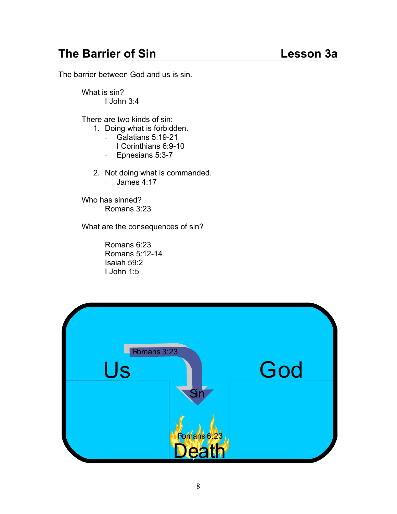## **The Barrier of Sin Community Community Community Community Community Community Community Community Community Community Community Community Community Community Community Community Community Community Community Community Co**

The barrier between God and us is sin.

 What is sin? I John 3:4

There are two kinds of sin:

- 1. Doing what is forbidden.
	- Galatians 5:19-21
	- I Corinthians 6:9-10
	- Ephesians 5:3-7
- 2. Not doing what is commanded.
	- James 4:17

 Who has sinned? Romans 3:23

What are the consequences of sin?

Romans 6:23 Romans 5:12-14 Isaiah 59:2 I John 1:5

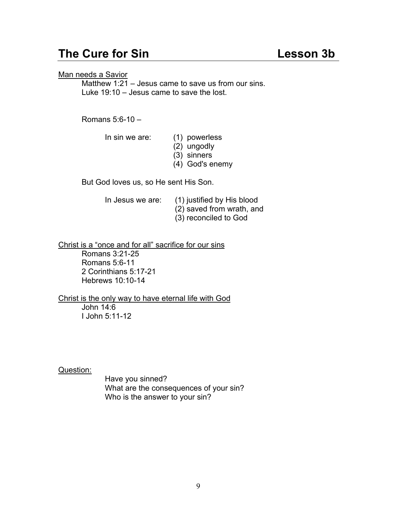## **The Cure for Sin Contract Contract Contract Contract Contract Contract Contract Contract Contract Contract Contract Contract Contract Contract Contract Contract Contract Contract Contract Contract Contract Contract Contra**

Man needs a Savior

 Matthew 1:21 – Jesus came to save us from our sins. Luke 19:10 – Jesus came to save the lost.

Romans 5:6-10 –

In sin we are: (1) powerless

- (2) ungodly
- (3) sinners
- (4) God's enemy

But God loves us, so He sent His Son.

 In Jesus we are: (1) justified by His blood (2) saved from wrath, and (3) reconciled to God

Christ is a "once and for all" sacrifice for our sins

 Romans 3:21-25 Romans 5:6-11 2 Corinthians 5:17-21 Hebrews 10:10-14

Christ is the only way to have eternal life with God John 14:6 I John 5:11-12

Question:

Have you sinned? What are the consequences of your sin? Who is the answer to your sin?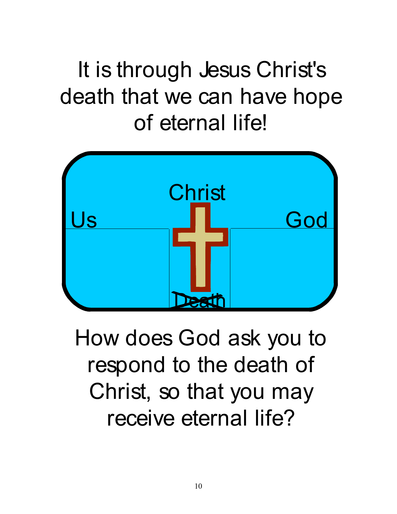## It is through Jesus Christ's death that we can have hope of eternal life!



How does God ask you to respond to the death of Christ, so that you may receive eternal life?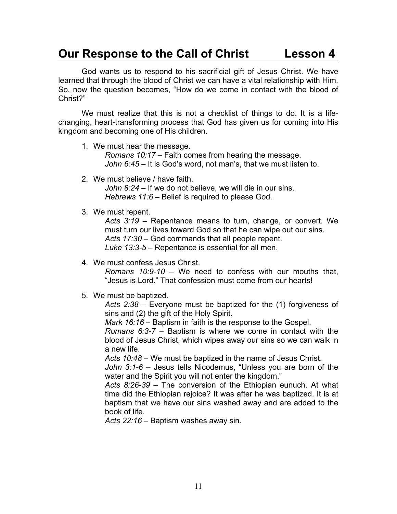## **Our Response to the Call of Christ Lesson 4**

God wants us to respond to his sacrificial gift of Jesus Christ. We have learned that through the blood of Christ we can have a vital relationship with Him. So, now the question becomes, "How do we come in contact with the blood of Christ?"

We must realize that this is not a checklist of things to do. It is a lifechanging, heart-transforming process that God has given us for coming into His kingdom and becoming one of His children.

1. We must hear the message.

*Romans 10:17* – Faith comes from hearing the message. *John 6:45* – It is God's word, not man's, that we must listen to.

2. We must believe / have faith.

*John 8:24* – If we do not believe, we will die in our sins. *Hebrews 11:6* – Belief is required to please God.

3. We must repent.

*Acts 3:19* – Repentance means to turn, change, or convert. We must turn our lives toward God so that he can wipe out our sins. *Acts 17:30* – God commands that all people repent. *Luke 13:3-5* – Repentance is essential for all men.

4. We must confess Jesus Christ.

*Romans 10:9-10* – We need to confess with our mouths that, "Jesus is Lord." That confession must come from our hearts!

5. We must be baptized.

*Acts 2:38* – Everyone must be baptized for the (1) forgiveness of sins and (2) the gift of the Holy Spirit.

*Mark 16:16* – Baptism in faith is the response to the Gospel.

*Romans 6:3-7* – Baptism is where we come in contact with the blood of Jesus Christ, which wipes away our sins so we can walk in a new life.

*Acts 10:48* – We must be baptized in the name of Jesus Christ.

*John 3:1-6* – Jesus tells Nicodemus, "Unless you are born of the water and the Spirit you will not enter the kingdom."

*Acts 8:26-39* – The conversion of the Ethiopian eunuch. At what time did the Ethiopian rejoice? It was after he was baptized. It is at baptism that we have our sins washed away and are added to the book of life.

*Acts 22:16* – Baptism washes away sin.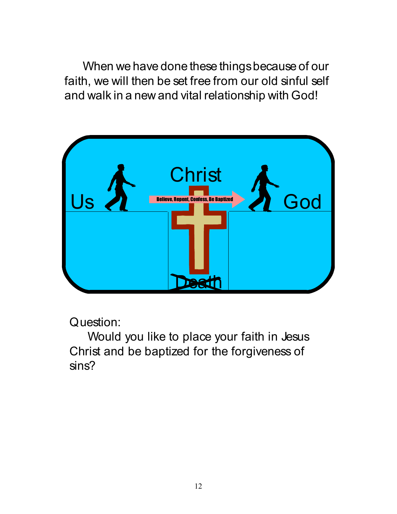When we have done these things because of our faith, we will then be set free from our old sinful self and walk in a new and vital relationship with God!



Question:

Would you like to place your faith in Jesus Christ and be baptized for the forgiveness of sins?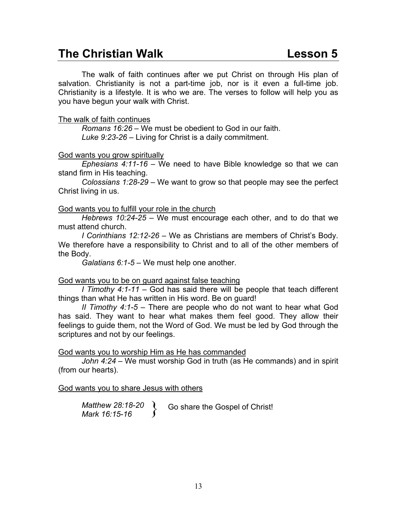## **The Christian Walk Construction Construction Construction Construction Construction Construction Construction Construction Construction Construction Construction Construction Construction Construction Construction Constru**

 The walk of faith continues after we put Christ on through His plan of salvation. Christianity is not a part-time job, nor is it even a full-time job. Christianity is a lifestyle. It is who we are. The verses to follow will help you as you have begun your walk with Christ.

### The walk of faith continues

*Romans 16:26* – We must be obedient to God in our faith. *Luke 9:23-26* – Living for Christ is a daily commitment.

### God wants you grow spiritually

*Ephesians 4:11-16* – We need to have Bible knowledge so that we can stand firm in His teaching.

*Colossians 1:28-29* – We want to grow so that people may see the perfect Christ living in us.

### God wants you to fulfill your role in the church

*Hebrews 10:24-25* – We must encourage each other, and to do that we must attend church.

*I Corinthians 12:12-26* – We as Christians are members of Christ's Body. We therefore have a responsibility to Christ and to all of the other members of the Body.

*Galatians 6:1-5* – We must help one another.

## God wants you to be on guard against false teaching

*I Timothy 4:1-11* – God has said there will be people that teach different things than what He has written in His word. Be on guard!

*II Timothy 4:1-5* – There are people who do not want to hear what God has said. They want to hear what makes them feel good. They allow their feelings to guide them, not the Word of God. We must be led by God through the scriptures and not by our feelings.

God wants you to worship Him as He has commanded

*John 4:24* – We must worship God in truth (as He commands) and in spirit (from our hearts).

### God wants you to share Jesus with others

*Matthew 28:18-20 Matthew 28:18-20* **(** Go share the Gospel of Christ!<br>*Mark 16:15-16* **6**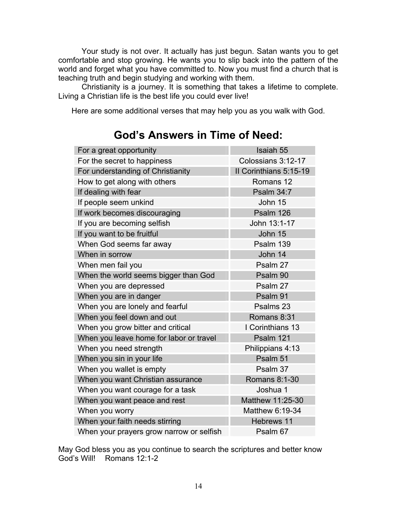Your study is not over. It actually has just begun. Satan wants you to get comfortable and stop growing. He wants you to slip back into the pattern of the world and forget what you have committed to. Now you must find a church that is teaching truth and begin studying and working with them.

Christianity is a journey. It is something that takes a lifetime to complete. Living a Christian life is the best life you could ever live!

Here are some additional verses that may help you as you walk with God.

| For a great opportunity                  | <b>Isaiah 55</b>       |  |
|------------------------------------------|------------------------|--|
| For the secret to happiness              | Colossians 3:12-17     |  |
| For understanding of Christianity        | Il Corinthians 5:15-19 |  |
| How to get along with others             | Romans 12              |  |
| If dealing with fear                     | <b>Psalm 34:7</b>      |  |
| If people seem unkind                    | John 15                |  |
| If work becomes discouraging             | Psalm 126              |  |
| If you are becoming selfish              | John 13:1-17           |  |
| If you want to be fruitful               | John 15                |  |
| When God seems far away                  | Psalm 139              |  |
| When in sorrow                           | John 14                |  |
| When men fail you                        | Psalm 27               |  |
| When the world seems bigger than God     | Psalm 90               |  |
| When you are depressed                   | Psalm 27               |  |
| When you are in danger                   | Psalm 91               |  |
| When you are lonely and fearful          | Psalms 23              |  |
| When you feel down and out               | Romans 8:31            |  |
| When you grow bitter and critical        | I Corinthians 13       |  |
| When you leave home for labor or travel  | Psalm 121              |  |
| When you need strength                   | Philippians 4:13       |  |
| When you sin in your life                | Psalm 51               |  |
| When you wallet is empty                 | Psalm 37               |  |
| When you want Christian assurance        | Romans 8:1-30          |  |
| When you want courage for a task         | Joshua 1               |  |
| When you want peace and rest             | Matthew 11:25-30       |  |
| When you worry                           | Matthew 6:19-34        |  |
| When your faith needs stirring           | <b>Hebrews 11</b>      |  |
| When your prayers grow narrow or selfish | Psalm 67               |  |

## **God's Answers in Time of Need:**

May God bless you as you continue to search the scriptures and better know God's Will! Romans 12:1-2